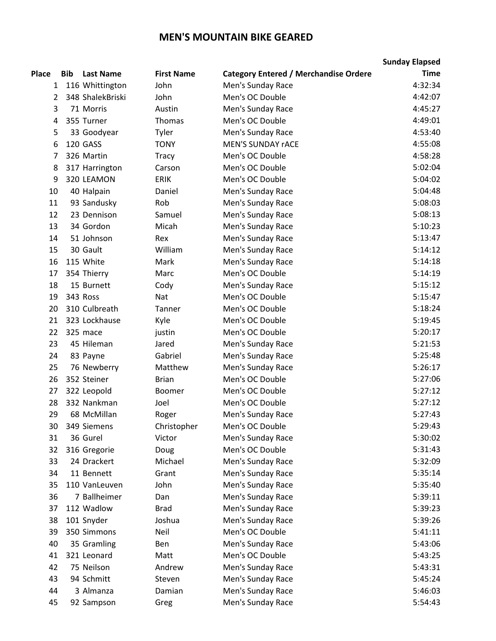## **MEN'S MOUNTAIN BIKE GEARED**

|              |            |                  |                   |                                              | <b>Sunday Elapsed</b> |
|--------------|------------|------------------|-------------------|----------------------------------------------|-----------------------|
| <b>Place</b> | <b>Bib</b> | <b>Last Name</b> | <b>First Name</b> | <b>Category Entered / Merchandise Ordere</b> | <b>Time</b>           |
| 1            |            | 116 Whittington  | John              | Men's Sunday Race                            | 4:32:34               |
| 2            |            | 348 ShalekBriski | John              | Men's OC Double                              | 4:42:07               |
| 3            |            | 71 Morris        | Austin            | Men's Sunday Race                            | 4:45:27               |
| 4            |            | 355 Turner       | <b>Thomas</b>     | Men's OC Double                              | 4:49:01               |
| 5            |            | 33 Goodyear      | Tyler             | Men's Sunday Race                            | 4:53:40               |
| 6            |            | 120 GASS         | <b>TONY</b>       | <b>MEN'S SUNDAY rACE</b>                     | 4:55:08               |
| 7            |            | 326 Martin       | <b>Tracy</b>      | Men's OC Double                              | 4:58:28               |
| 8            |            | 317 Harrington   | Carson            | Men's OC Double                              | 5:02:04               |
| 9            |            | 320 LEAMON       | <b>ERIK</b>       | Men's OC Double                              | 5:04:02               |
| 10           |            | 40 Halpain       | Daniel            | Men's Sunday Race                            | 5:04:48               |
| 11           |            | 93 Sandusky      | Rob               | Men's Sunday Race                            | 5:08:03               |
| 12           |            | 23 Dennison      | Samuel            | Men's Sunday Race                            | 5:08:13               |
| 13           |            | 34 Gordon        | Micah             | Men's Sunday Race                            | 5:10:23               |
| 14           |            | 51 Johnson       | Rex               | Men's Sunday Race                            | 5:13:47               |
| 15           |            | 30 Gault         | William           | Men's Sunday Race                            | 5:14:12               |
| 16           |            | 115 White        | Mark              | Men's Sunday Race                            | 5:14:18               |
| 17           |            | 354 Thierry      | Marc              | Men's OC Double                              | 5:14:19               |
| 18           |            | 15 Burnett       | Cody              | Men's Sunday Race                            | 5:15:12               |
| 19           |            | 343 Ross         | Nat               | Men's OC Double                              | 5:15:47               |
| 20           |            | 310 Culbreath    | Tanner            | Men's OC Double                              | 5:18:24               |
| 21           |            | 323 Lockhause    | Kyle              | Men's OC Double                              | 5:19:45               |
| 22           |            | 325 mace         | justin            | Men's OC Double                              | 5:20:17               |
| 23           |            | 45 Hileman       | Jared             | Men's Sunday Race                            | 5:21:53               |
| 24           |            | 83 Payne         | Gabriel           | Men's Sunday Race                            | 5:25:48               |
| 25           |            | 76 Newberry      | Matthew           | Men's Sunday Race                            | 5:26:17               |
| 26           |            | 352 Steiner      | <b>Brian</b>      | Men's OC Double                              | 5:27:06               |
| 27           |            | 322 Leopold      | Boomer            | Men's OC Double                              | 5:27:12               |
| 28           |            | 332 Nankman      | Joel              | Men's OC Double                              | 5:27:12               |
| 29           |            | 68 McMillan      | Roger             | Men's Sunday Race                            | 5:27:43               |
| 30           |            | 349 Siemens      | Christopher       | Men's OC Double                              | 5:29:43               |
| 31           |            | 36 Gurel         | Victor            | Men's Sunday Race                            | 5:30:02               |
| 32           |            | 316 Gregorie     | Doug              | Men's OC Double                              | 5:31:43               |
| 33           |            | 24 Drackert      | Michael           | Men's Sunday Race                            | 5:32:09               |
| 34           |            | 11 Bennett       | Grant             | Men's Sunday Race                            | 5:35:14               |
| 35           |            | 110 VanLeuven    | John              | Men's Sunday Race                            | 5:35:40               |
| 36           |            | 7 Ballheimer     | Dan               | Men's Sunday Race                            | 5:39:11               |
| 37           |            | 112 Wadlow       | <b>Brad</b>       | Men's Sunday Race                            | 5:39:23               |
| 38           |            | 101 Snyder       | Joshua            | Men's Sunday Race                            | 5:39:26               |
| 39           |            | 350 Simmons      | Neil              | Men's OC Double                              | 5:41:11               |
| 40           |            | 35 Gramling      | Ben               | Men's Sunday Race                            | 5:43:06               |
| 41           |            | 321 Leonard      | Matt              | Men's OC Double                              | 5:43:25               |
| 42           |            | 75 Neilson       | Andrew            | Men's Sunday Race                            | 5:43:31               |
| 43           |            | 94 Schmitt       | Steven            | Men's Sunday Race                            | 5:45:24               |
| 44           |            | 3 Almanza        | Damian            | Men's Sunday Race                            | 5:46:03               |
| 45           |            | 92 Sampson       | Greg              | Men's Sunday Race                            | 5:54:43               |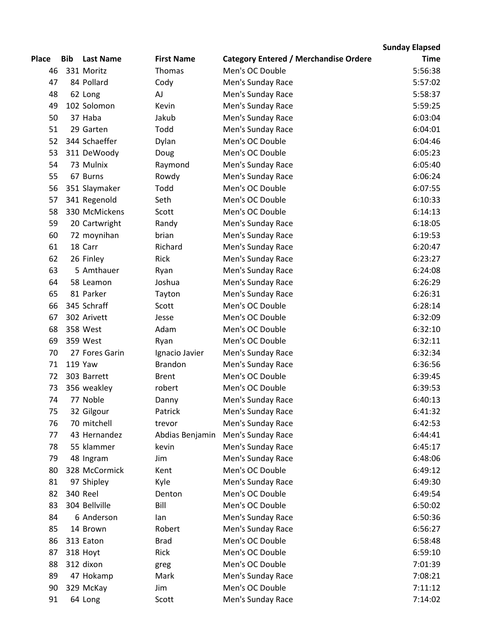## **Sunday Elapsed**

| Place | Bib | <b>Last Name</b> | <b>First Name</b> | <b>Category Entered / Merchandise Ordere</b> | <b>Time</b> |
|-------|-----|------------------|-------------------|----------------------------------------------|-------------|
| 46    |     | 331 Moritz       | Thomas            | Men's OC Double                              | 5:56:38     |
| 47    |     | 84 Pollard       | Cody              | Men's Sunday Race                            | 5:57:02     |
| 48    |     | 62 Long          | AJ                | Men's Sunday Race                            | 5:58:37     |
| 49    |     | 102 Solomon      | Kevin             | Men's Sunday Race                            | 5:59:25     |
| 50    |     | 37 Haba          | Jakub             | Men's Sunday Race                            | 6:03:04     |
| 51    |     | 29 Garten        | Todd              | Men's Sunday Race                            | 6:04:01     |
| 52    |     | 344 Schaeffer    | Dylan             | Men's OC Double                              | 6:04:46     |
| 53    |     | 311 DeWoody      | Doug              | Men's OC Double                              | 6:05:23     |
| 54    |     | 73 Mulnix        | Raymond           | Men's Sunday Race                            | 6:05:40     |
| 55    |     | 67 Burns         | Rowdy             | Men's Sunday Race                            | 6:06:24     |
| 56    |     | 351 Slaymaker    | Todd              | Men's OC Double                              | 6:07:55     |
| 57    |     | 341 Regenold     | Seth              | Men's OC Double                              | 6:10:33     |
| 58    |     | 330 McMickens    | Scott             | Men's OC Double                              | 6:14:13     |
| 59    |     | 20 Cartwright    | Randy             | Men's Sunday Race                            | 6:18:05     |
| 60    |     | 72 moynihan      | brian             | Men's Sunday Race                            | 6:19:53     |
| 61    |     | 18 Carr          | Richard           | Men's Sunday Race                            | 6:20:47     |
| 62    |     | 26 Finley        | Rick              | Men's Sunday Race                            | 6:23:27     |
| 63    |     | 5 Amthauer       | Ryan              | Men's Sunday Race                            | 6:24:08     |
| 64    |     | 58 Leamon        | Joshua            | Men's Sunday Race                            | 6:26:29     |
| 65    |     | 81 Parker        | Tayton            | Men's Sunday Race                            | 6:26:31     |
| 66    |     | 345 Schraff      | Scott             | Men's OC Double                              | 6:28:14     |
| 67    |     | 302 Arivett      | Jesse             | Men's OC Double                              | 6:32:09     |
| 68    |     | 358 West         | Adam              | Men's OC Double                              | 6:32:10     |
| 69    |     | 359 West         | Ryan              | Men's OC Double                              | 6:32:11     |
| 70    |     | 27 Fores Garin   | Ignacio Javier    | Men's Sunday Race                            | 6:32:34     |
| 71    |     | <b>119 Yaw</b>   | <b>Brandon</b>    | Men's Sunday Race                            | 6:36:56     |
| 72    |     | 303 Barrett      | <b>Brent</b>      | Men's OC Double                              | 6:39:45     |
| 73    |     | 356 weakley      | robert            | Men's OC Double                              | 6:39:53     |
| 74    |     | 77 Noble         | Danny             | Men's Sunday Race                            | 6:40:13     |
| 75    |     | 32 Gilgour       | Patrick           | Men's Sunday Race                            | 6:41:32     |
| 76    |     | 70 mitchell      | trevor            | Men's Sunday Race                            | 6:42:53     |
| 77    |     | 43 Hernandez     | Abdias Benjamin   | Men's Sunday Race                            | 6:44:41     |
| 78    |     | 55 klammer       | kevin             | Men's Sunday Race                            | 6:45:17     |
| 79    |     | 48 Ingram        | Jim               | Men's Sunday Race                            | 6:48:06     |
| 80    |     | 328 McCormick    | Kent              | Men's OC Double                              | 6:49:12     |
| 81    |     | 97 Shipley       | Kyle              | Men's Sunday Race                            | 6:49:30     |
| 82    |     | <b>340 Reel</b>  | Denton            | Men's OC Double                              | 6:49:54     |
| 83    |     | 304 Bellville    | Bill              | Men's OC Double                              | 6:50:02     |
| 84    |     | 6 Anderson       | lan               | Men's Sunday Race                            | 6:50:36     |
| 85    |     | 14 Brown         | Robert            | Men's Sunday Race                            | 6:56:27     |
| 86    |     | 313 Eaton        | <b>Brad</b>       | Men's OC Double                              | 6:58:48     |
| 87    |     | 318 Hoyt         | Rick              | Men's OC Double                              | 6:59:10     |
| 88    |     | 312 dixon        | greg              | Men's OC Double                              | 7:01:39     |
| 89    |     | 47 Hokamp        | Mark              | Men's Sunday Race                            | 7:08:21     |
| 90    |     | 329 McKay        | Jim               | Men's OC Double                              | 7:11:12     |
| 91    |     | 64 Long          | Scott             | Men's Sunday Race                            | 7:14:02     |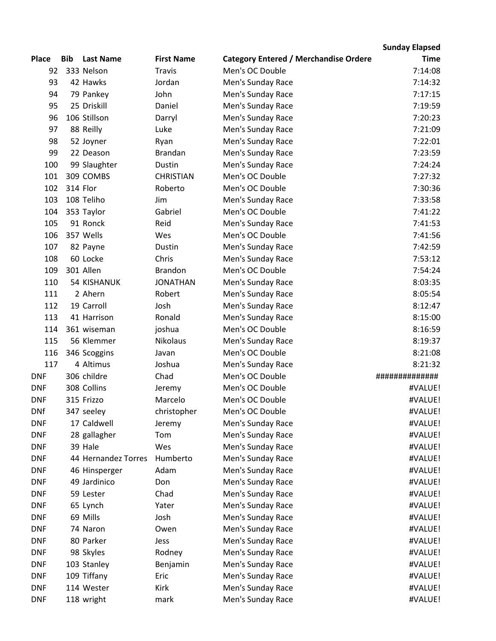## **Place Bib Last Name First Name Category Entered / Merchandise Ordered Sunday Elapsed Time** 92 333 Nelson Travis Men's OC Double 7:14:08 93 42 Hawks Jordan Men's Sunday Race 7:14:32 94 79 Pankey John Men's Sunday Race 7:17:15 95 25 Driskill Daniel Men's Sunday Race 7:19:59 96 106 Stillson Darryl Men's Sunday Race 7:20:23 97 88 Reilly Luke Luke Men's Sunday Race 7:21:09 98 52 Joyner Ryan Men's Sunday Race 7:22:01 99 22 Deason Brandan Men's Sunday Race 7:23:59 100 99 Slaughter Dustin Men's Sunday Race 7:24:24 101 309 COMBS CHRISTIAN Men's OC Double 7:27:32 102 314 Flor Roberto Men's OC Double 7:30:36 103 108 Teliho Jim Men's Sunday Race 7:33:58 104 353 Taylor Gabriel Men's OC Double 7:41:22 105 91 Ronck Reid Men's Sunday Race 7:41:53 106 357 Wells Wes Men's OC Double 7:41:56 107 82 Payne Dustin Men's Sunday Race 7:42:59 108 60 Locke Chris Men's Sunday Race 7:53:12 109 301 Allen Brandon Men's OC Double 7:54:24 110 54 KISHANUK JONATHAN Men's Sunday Race 8:03:35 111 2 Ahern Robert Men's Sunday Race 8:05:54 112 19 Carroll Josh Men's Sunday Race 8:12:47 113 41 Harrison Ronald Men's Sunday Race 8:15:00 114 361 wiseman joshua Men's OC Double 8:16:59 115 56 Klemmer Nikolaus Men's Sunday Race 8:19:37 116 346 Scoggins Javan Men's OC Double 8:21:08 117 4 Altimus Joshua Men's Sunday Race 8:21:32 DNF 306 childre Chad Men's OC Double ############## DNF 308 Collins Jeremy Men's OC Double #VALUE! DNF 315 Frizzo Marcelo Men's OC Double #VALUE! DNf 347 seeley christopher Men's OC Double #VALUE! DNF 17 Caldwell Jeremy Men's Sunday Race #VALUE! DNF 28 gallagher Tom Men's Sunday Race #VALUE! DNF 39 Hale Wes Men's Sunday Race #VALUE! DNF 44 Hernandez Torres Humberto Men's Sunday Race The Mental Mental Mental Mental Mental Mental Mental Mental DNF 46 Hinsperger Adam Men's Sunday Race #VALUE! DNF 49 Jardinico Don Men's Sunday Race #VALUE! DNF 59 Lester Chad Men's Sunday Race #VALUE! DNF 65 Lynch Yater Men's Sunday Race #VALUE! DNF 69 Mills Josh Men's Sunday Race **1988 1998 1998 1999** 4VALUE! DNF 74 Naron Owen Men's Sunday Race **1988 12 November 10** AVALUE! DNF 80 Parker Jess Men's Sunday Race #VALUE! DNF 98 Skyles Rodney Men's Sunday Race **Access 198 Skyles** Rodney DNF 103 Stanley Benjamin Men's Sunday Race **103 Stanley** #VALUE! DNF 109 Tiffany Eric Men's Sunday Race #VALUE! DNF 114 Wester Kirk Men's Sunday Race **114 Wester Wester All Accord Accord Accord Men** DNF 118 wright mark Men's Sunday Race #VALUE!